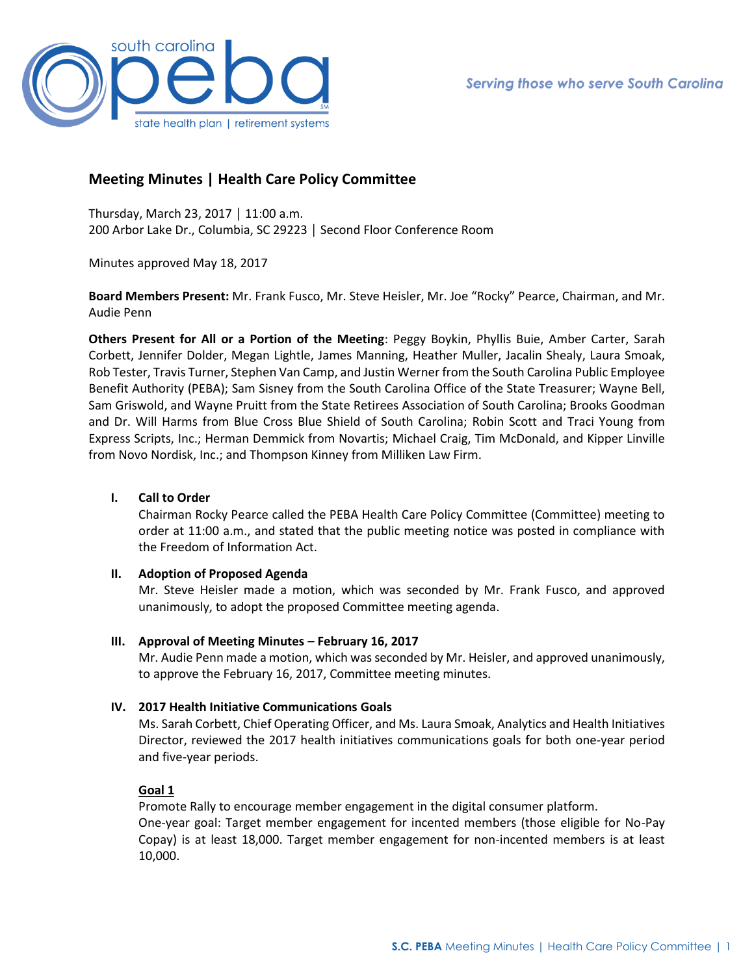

# **Meeting Minutes | Health Care Policy Committee**

Thursday, March 23, 2017 │ 11:00 a.m. 200 Arbor Lake Dr., Columbia, SC 29223 │ Second Floor Conference Room

Minutes approved May 18, 2017

**Board Members Present:** Mr. Frank Fusco, Mr. Steve Heisler, Mr. Joe "Rocky" Pearce, Chairman, and Mr. Audie Penn

**Others Present for All or a Portion of the Meeting**: Peggy Boykin, Phyllis Buie, Amber Carter, Sarah Corbett, Jennifer Dolder, Megan Lightle, James Manning, Heather Muller, Jacalin Shealy, Laura Smoak, Rob Tester, Travis Turner, Stephen Van Camp, and Justin Werner from the South Carolina Public Employee Benefit Authority (PEBA); Sam Sisney from the South Carolina Office of the State Treasurer; Wayne Bell, Sam Griswold, and Wayne Pruitt from the State Retirees Association of South Carolina; Brooks Goodman and Dr. Will Harms from Blue Cross Blue Shield of South Carolina; Robin Scott and Traci Young from Express Scripts, Inc.; Herman Demmick from Novartis; Michael Craig, Tim McDonald, and Kipper Linville from Novo Nordisk, Inc.; and Thompson Kinney from Milliken Law Firm.

# **I. Call to Order**

Chairman Rocky Pearce called the PEBA Health Care Policy Committee (Committee) meeting to order at 11:00 a.m., and stated that the public meeting notice was posted in compliance with the Freedom of Information Act.

#### **II. Adoption of Proposed Agenda**

Mr. Steve Heisler made a motion, which was seconded by Mr. Frank Fusco, and approved unanimously, to adopt the proposed Committee meeting agenda.

# **III. Approval of Meeting Minutes – February 16, 2017**

Mr. Audie Penn made a motion, which was seconded by Mr. Heisler, and approved unanimously, to approve the February 16, 2017, Committee meeting minutes.

# **IV. 2017 Health Initiative Communications Goals**

Ms. Sarah Corbett, Chief Operating Officer, and Ms. Laura Smoak, Analytics and Health Initiatives Director, reviewed the 2017 health initiatives communications goals for both one-year period and five-year periods.

#### **Goal 1**

Promote Rally to encourage member engagement in the digital consumer platform. One-year goal: Target member engagement for incented members (those eligible for No-Pay Copay) is at least 18,000. Target member engagement for non-incented members is at least 10,000.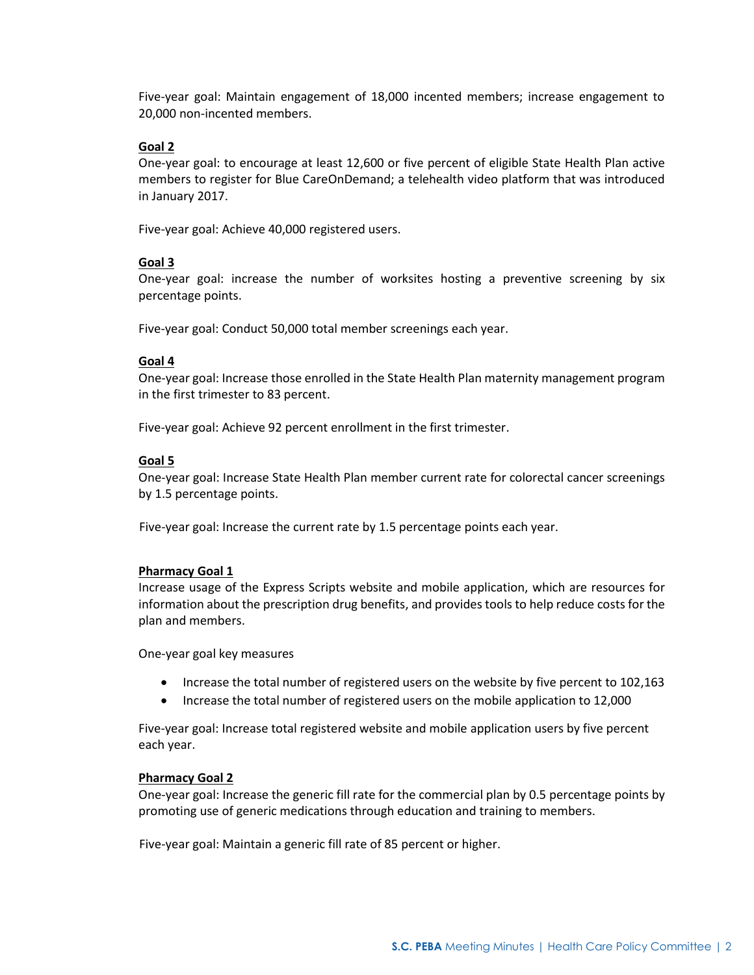Five-year goal: Maintain engagement of 18,000 incented members; increase engagement to 20,000 non-incented members.

### **Goal 2**

One-year goal: to encourage at least 12,600 or five percent of eligible State Health Plan active members to register for Blue CareOnDemand; a telehealth video platform that was introduced in January 2017.

Five-year goal: Achieve 40,000 registered users.

# **Goal 3**

One-year goal: increase the number of worksites hosting a preventive screening by six percentage points.

Five-year goal: Conduct 50,000 total member screenings each year.

### **Goal 4**

One-year goal: Increase those enrolled in the State Health Plan maternity management program in the first trimester to 83 percent.

Five-year goal: Achieve 92 percent enrollment in the first trimester.

### **Goal 5**

One-year goal: Increase State Health Plan member current rate for colorectal cancer screenings by 1.5 percentage points.

Five-year goal: Increase the current rate by 1.5 percentage points each year.

#### **Pharmacy Goal 1**

Increase usage of the Express Scripts website and mobile application, which are resources for information about the prescription drug benefits, and provides tools to help reduce costs for the plan and members.

One-year goal key measures

- Increase the total number of registered users on the website by five percent to 102,163
- Increase the total number of registered users on the mobile application to 12,000

Five-year goal: Increase total registered website and mobile application users by five percent each year.

#### **Pharmacy Goal 2**

One-year goal: Increase the generic fill rate for the commercial plan by 0.5 percentage points by promoting use of generic medications through education and training to members.

Five-year goal: Maintain a generic fill rate of 85 percent or higher.